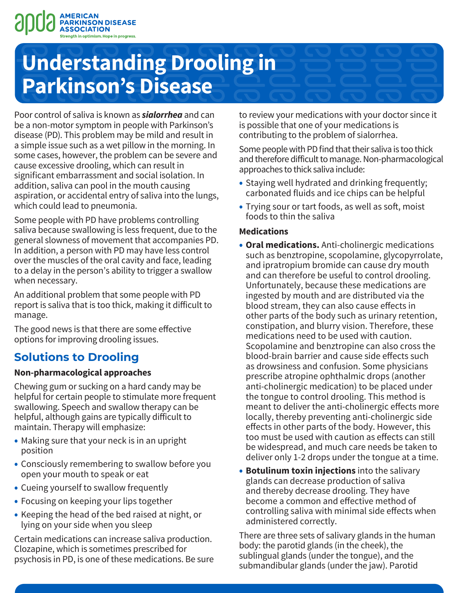

# **Understanding Drooling in Parkinson's Disease**

Poor control of saliva is known as *sialorrhea* and can be a non-motor symptom in people with Parkinson's disease (PD). This problem may be mild and result in a simple issue such as a wet pillow in the morning. In some cases, however, the problem can be severe and cause excessive drooling, which can result in significant embarrassment and social isolation. In addition, saliva can pool in the mouth causing aspiration, or accidental entry of saliva into the lungs, which could lead to pneumonia.

Some people with PD have problems controlling saliva because swallowing is less frequent, due to the general slowness of movement that accompanies PD. In addition, a person with PD may have less control over the muscles of the oral cavity and face, leading to a delay in the person's ability to trigger a swallow when necessary.

An additional problem that some people with PD report is saliva that is too thick, making it difficult to manage.

The good news is that there are some effective options for improving drooling issues.

## **Solutions to Drooling**

## **Non-pharmacological approaches**

Chewing gum or sucking on a hard candy may be helpful for certain people to stimulate more frequent swallowing. Speech and swallow therapy can be helpful, although gains are typically difficult to maintain. Therapy will emphasize:

- Making sure that your neck is in an upright position
- Consciously remembering to swallow before you open your mouth to speak or eat
- Cueing yourself to swallow frequently
- Focusing on keeping your lips together
- Keeping the head of the bed raised at night, or lying on your side when you sleep

Certain medications can increase saliva production. Clozapine, which is sometimes prescribed for psychosis in PD, is one of these medications. Be sure to review your medications with your doctor since it is possible that one of your medications is contributing to the problem of sialorrhea.

Some people with PD find that their saliva is too thick and therefore difficult to manage. Non-pharmacological approaches to thick saliva include:

- Staying well hydrated and drinking frequently; carbonated fluids and ice chips can be helpful
- Trying sour or tart foods, as well as soft, moist foods to thin the saliva

## **Medications**

- **Oral medications.** Anti-cholinergic medications such as benztropine, scopolamine, glycopyrrolate, and ipratropium bromide can cause dry mouth and can therefore be useful to control drooling. Unfortunately, because these medications are ingested by mouth and are distributed via the blood stream, they can also cause effects in other parts of the body such as urinary retention, constipation, and blurry vision. Therefore, these medications need to be used with caution. Scopolamine and benztropine can also cross the blood-brain barrier and cause side effects such as drowsiness and confusion. Some physicians prescribe atropine ophthalmic drops (another anti-cholinergic medication) to be placed under the tongue to control drooling. This method is meant to deliver the anti-cholinergic effects more locally, thereby preventing anti-cholinergic side effects in other parts of the body. However, this too must be used with caution as effects can still be widespread, and much care needs be taken to deliver only 1-2 drops under the tongue at a time.
- **Botulinum toxin injections** into the salivary glands can decrease production of saliva and thereby decrease drooling. They have become a common and effective method of controlling saliva with minimal side effects when administered correctly.

There are three sets of salivary glands in the human body: the parotid glands (in the cheek), the sublingual glands (under the tongue), and the submandibular glands (under the jaw). Parotid